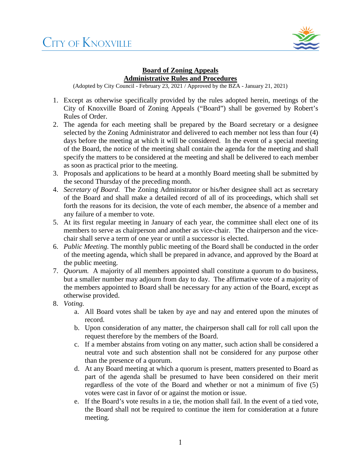

## **Board of Zoning Appeals Administrative Rules and Procedures**

(Adopted by City Council - February 23, 2021 / Approved by the BZA - January 21, 2021)

- 1. Except as otherwise specifically provided by the rules adopted herein, meetings of the City of Knoxville Board of Zoning Appeals ("Board") shall be governed by Robert's Rules of Order.
- 2. The agenda for each meeting shall be prepared by the Board secretary or a designee selected by the Zoning Administrator and delivered to each member not less than four (4) days before the meeting at which it will be considered. In the event of a special meeting of the Board, the notice of the meeting shall contain the agenda for the meeting and shall specify the matters to be considered at the meeting and shall be delivered to each member as soon as practical prior to the meeting.
- 3. Proposals and applications to be heard at a monthly Board meeting shall be submitted by the second Thursday of the preceding month.
- 4. *Secretary of Board.* The Zoning Administrator or his**/**her designee shall act as secretary of the Board and shall make a detailed record of all of its proceedings, which shall set forth the reasons for its decision, the vote of each member, the absence of a member and any failure of a member to vote.
- 5. At its first regular meeting in January of each year, the committee shall elect one of its members to serve as chairperson and another as vice-chair. The chairperson and the vicechair shall serve a term of one year or until a successor is elected.
- 6. *Public Meeting.* The monthly public meeting of the Board shall be conducted in the order of the meeting agenda, which shall be prepared in advance, and approved by the Board at the public meeting.
- 7. *Quorum.* A majority of all members appointed shall constitute a quorum to do business, but a smaller number may adjourn from day to day. The affirmative vote of a majority of the members appointed to Board shall be necessary for any action of the Board, except as otherwise provided.
- 8. *Voting.*
	- a. All Board votes shall be taken by aye and nay and entered upon the minutes of record.
	- b. Upon consideration of any matter, the chairperson shall call for roll call upon the request therefore by the members of the Board.
	- c. If a member abstains from voting on any matter, such action shall be considered a neutral vote and such abstention shall not be considered for any purpose other than the presence of a quorum.
	- d. At any Board meeting at which a quorum is present, matters presented to Board as part of the agenda shall be presumed to have been considered on their merit regardless of the vote of the Board and whether or not a minimum of five (5) votes were cast in favor of or against the motion or issue.
	- e. If the Board's vote results in a tie, the motion shall fail. In the event of a tied vote, the Board shall not be required to continue the item for consideration at a future meeting.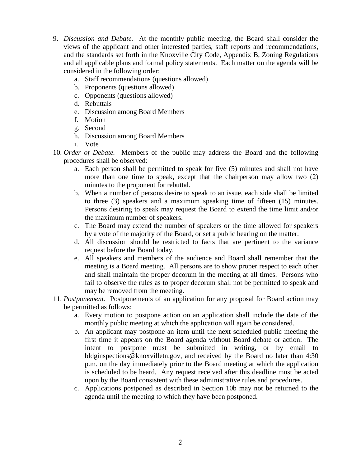- 9. *Discussion and Debate.* At the monthly public meeting, the Board shall consider the views of the applicant and other interested parties, staff reports and recommendations, and the standards set forth in the Knoxville City Code, Appendix B, Zoning Regulations and all applicable plans and formal policy statements. Each matter on the agenda will be considered in the following order:
	- a. Staff recommendations (questions allowed)
	- b. Proponents (questions allowed)
	- c. Opponents (questions allowed)
	- d. Rebuttals
	- e. Discussion among Board Members
	- f. Motion
	- g. Second
	- h. Discussion among Board Members
	- i. Vote
- 10. *Order of Debate.* Members of the public may address the Board and the following procedures shall be observed:
	- a. Each person shall be permitted to speak for five (5) minutes and shall not have more than one time to speak, except that the chairperson may allow two (2) minutes to the proponent for rebuttal.
	- b. When a number of persons desire to speak to an issue, each side shall be limited to three (3) speakers and a maximum speaking time of fifteen (15) minutes. Persons desiring to speak may request the Board to extend the time limit and/or the maximum number of speakers.
	- c. The Board may extend the number of speakers or the time allowed for speakers by a vote of the majority of the Board, or set a public hearing on the matter.
	- d. All discussion should be restricted to facts that are pertinent to the variance request before the Board today.
	- e. All speakers and members of the audience and Board shall remember that the meeting is a Board meeting. All persons are to show proper respect to each other and shall maintain the proper decorum in the meeting at all times. Persons who fail to observe the rules as to proper decorum shall not be permitted to speak and may be removed from the meeting.
- 11. *Postponement.* Postponements of an application for any proposal for Board action may be permitted as follows:
	- a. Every motion to postpone action on an application shall include the date of the monthly public meeting at which the application will again be considered.
	- b. An applicant may postpone an item until the next scheduled public meeting the first time it appears on the Board agenda without Board debate or action. The intent to postpone must be submitted in writing, or by email to bldginspections@knoxvilletn.gov, and received by the Board no later than 4:30 p.m. on the day immediately prior to the Board meeting at which the application is scheduled to be heard. Any request received after this deadline must be acted upon by the Board consistent with these administrative rules and procedures.
	- c. Applications postponed as described in Section 10b may not be returned to the agenda until the meeting to which they have been postponed.